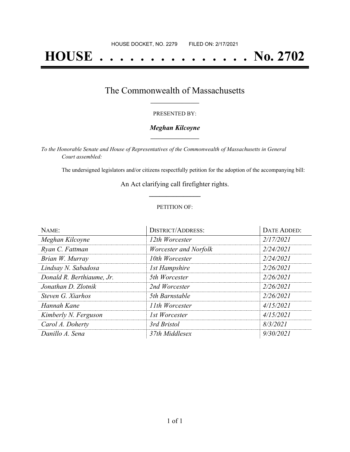# **HOUSE . . . . . . . . . . . . . . . No. 2702**

## The Commonwealth of Massachusetts **\_\_\_\_\_\_\_\_\_\_\_\_\_\_\_\_\_**

#### PRESENTED BY:

#### *Meghan Kilcoyne* **\_\_\_\_\_\_\_\_\_\_\_\_\_\_\_\_\_**

*To the Honorable Senate and House of Representatives of the Commonwealth of Massachusetts in General Court assembled:*

The undersigned legislators and/or citizens respectfully petition for the adoption of the accompanying bill:

An Act clarifying call firefighter rights. **\_\_\_\_\_\_\_\_\_\_\_\_\_\_\_**

#### PETITION OF:

| NAME:                     | <b>DISTRICT/ADDRESS:</b> | DATE ADDED: |
|---------------------------|--------------------------|-------------|
| Meghan Kilcoyne           | 12th Worcester           | 2/17/2021   |
| Ryan C. Fattman           | Worcester and Norfolk    | 2/24/2021   |
| Brian W. Murray           | 10th Worcester           | 2/24/2021   |
| Lindsay N. Sabadosa       | <b>1st Hampshire</b>     | 2/26/2021   |
| Donald R. Berthiaume, Jr. | 5th Worcester            | 2/26/2021   |
| Jonathan D. Zlotnik       | 2nd Worcester            | 2/26/2021   |
| Steven G. Xiarhos         | 5th Barnstable           | 2/26/2021   |
| Hannah Kane               | 11th Worcester           | 4/15/2021   |
| Kimberly N. Ferguson      | 1st Worcester            | 4/15/2021   |
| Carol A. Doherty          | 3rd Bristol              | 8/3/2021    |
| Danillo A. Sena           | 37th Middlesex           | 9/30/2021   |